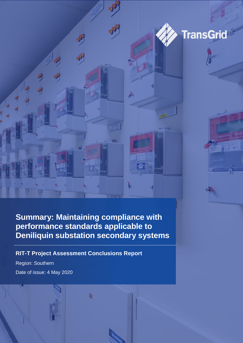



 $15.2$ 

## **Summary: Maintaining compliance with performance standards applicable to Deniliquin substation secondary systems**

b

 $\sqrt{2}$ 

### **RIT-T Project Assessment Conclusions Report**

Region: Southern Date of issue: 4 May 2020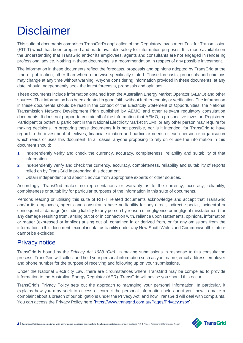# **Disclaimer**

This suite of documents comprises TransGrid's application of the Regulatory Investment Test for Transmission (RIT-T) which has been prepared and made available solely for information purposes. It is made available on the understanding that TransGrid and/or its employees, agents and consultants are not engaged in rendering professional advice. Nothing in these documents is a recommendation in respect of any possible investment.

The information in these documents reflect the forecasts, proposals and opinions adopted by TransGrid at the time of publication, other than where otherwise specifically stated. Those forecasts, proposals and opinions may change at any time without warning. Anyone considering information provided in these documents, at any date, should independently seek the latest forecasts, proposals and opinions.

These documents include information obtained from the Australian Energy Market Operator (AEMO) and other sources. That information has been adopted in good faith, without further enquiry or verification. The information in these documents should be read in the context of the Electricity Statement of Opportunities, the National Transmission Network Development Plan published by AEMO and other relevant regulatory consultation documents. It does not purport to contain all of the information that AEMO, a prospective investor, Registered Participant or potential participant in the National Electricity Market (NEM), or any other person may require for making decisions. In preparing these documents it is not possible, nor is it intended, for TransGrid to have regard to the investment objectives, financial situation and particular needs of each person or organisation which reads or uses this document. In all cases, anyone proposing to rely on or use the information in this document should:

- 1. Independently verify and check the currency, accuracy, completeness, reliability and suitability of that information
- 2. Independently verify and check the currency, accuracy, completeness, reliability and suitability of reports relied on by TransGrid in preparing this document
- 3. Obtain independent and specific advice from appropriate experts or other sources.

Accordingly, TransGrid makes no representations or warranty as to the currency, accuracy, reliability, completeness or suitability for particular purposes of the information in this suite of documents.

Persons reading or utilising this suite of RIT-T related documents acknowledge and accept that TransGrid and/or its employees, agents and consultants have no liability for any direct, indirect, special, incidental or consequential damage (including liability to any person by reason of negligence or negligent misstatement) for any damage resulting from, arising out of or in connection with, reliance upon statements, opinions, information or matter (expressed or implied) arising out of, contained in or derived from, or for any omissions from the information in this document, except insofar as liability under any New South Wales and Commonwealth statute cannot be excluded.

### Privacy notice

TransGrid is bound by the *Privacy Act 1988 (Cth)*. In making submissions in response to this consultation process, TransGrid will collect and hold your personal information such as your name, email address, employer and phone number for the purpose of receiving and following up on your submissions.

Under the National Electricity Law, there are circumstances where TransGrid may be compelled to provide information to the Australian Energy Regulator (AER). TransGrid will advise you should this occur.

TransGrid's Privacy Policy sets out the approach to managing your personal information. In particular, it explains how you may seek to access or correct the personal information held about you, how to make a complaint about a breach of our obligations under the Privacy Act, and how TransGrid will deal with complaints. You can access the Privacy Policy here [\(https://www.transgrid.com.au/Pages/Privacy.aspx\)](https://www.transgrid.com.au/Pages/Privacy.aspx).

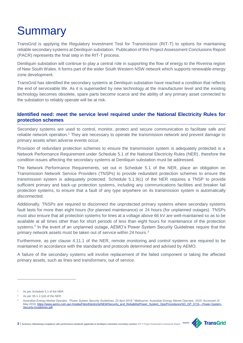# **Summary**

TransGrid is applying the Regulatory Investment Test for Transmission (RIT-T) to options for maintaining reliable secondary systems at Deniliquin substation. Publication of this Project Assessment Conclusions Report (PACR) represents the final step in the RIT-T process.

Deniliquin substation will continue to play a central role in supporting the flow of energy to the Riverina region of New South Wales. It forms part of the wider South Western NSW network which supports renewable energy zone development.

TransGrid has identified the secondary systems at Deniliquin substation have reached a condition that reflects the end of serviceable life. As it is superseded by new technology at the manufacturer level and the existing technology becomes obsolete, spare parts become scarce and the ability of any primary asset connected to the substation to reliably operate will be at risk.

#### **Identified need: meet the service level required under the National Electricity Rules for protection schemes**

Secondary systems are used to control, monitor, protect and secure communication to facilitate safe and reliable network operation.<sup>1</sup> They are necessary to operate the transmission network and prevent damage to primary assets when adverse events occur.

Provision of redundant protection schemes to ensure the transmission system is adequately protected is a Network Performance Requirement under Schedule 5.1 of the National Electricity Rules (NER), therefore the condition issues affecting the secondary systems at Deniliquin substation must be addressed.

The Network Performance Requirements, set out in Schedule 5.1 of the NER, place an obligation on Transmission Network Service Providers (TNSPs) to provide redundant protection schemes to ensure the transmission system is adequately protected. Schedule 5.1.9(c) of the NER requires a TNSP to provide sufficient primary and back-up protection systems, including any communications facilities and breaker fail protection systems, to ensure that a fault of any type anywhere on its transmission system is automatically disconnected.

Additionally, TNSPs are required to disconnect the unprotected primary systems where secondary systems fault lasts for more than eight hours (for planned maintenance) or 24 hours (for unplanned outages). TNSPs must also ensure that all protection systems for lines at a voltage above 66 kV are well-maintained so as to be available at all times other than for short periods of less than eight hours for maintenance of the protection systems.<sup>2</sup> In the event of an unplanned outage, AEMO's Power System Security Guidelines require that the primary network assets must be taken out of service within 24 hours.<sup>3</sup>

Furthermore, as per clause 4.11.1 of the NER, remote monitoring and control systems are required to be maintained in accordance with the standards and protocols determined and advised by AEMO.

A failure of the secondary systems will involve replacement of the failed component or taking the affected primary assets, such as lines and transformers, out of service.

 $\overline{a}$ 

<sup>3</sup> Australian Energy Market Operator. *"Power System Security Guidelines, 23 April 2019."* Melbourne: Australian Energy Market Operator, 2019. Accessed 15 May 2019[. https://www.aemo.com.au/-/media/Files/Electricity/NEM/Security\\_and\\_Reliability/Power\\_System\\_Ops/Procedures/SO\\_OP\\_3715---Power-System-](https://www.aemo.com.au/-/media/Files/Electricity/NEM/Security_and_Reliability/Power_System_Ops/Procedures/SO_OP_3715---Power-System-Security-Guidelines.pdf)[Security-Guidelines.pdf](https://www.aemo.com.au/-/media/Files/Electricity/NEM/Security_and_Reliability/Power_System_Ops/Procedures/SO_OP_3715---Power-System-Security-Guidelines.pdf)



**<sup>3</sup>** | **Summary: Maintaining compliance with performance standards applicable to Deniliquin substation secondary systems** RIT-T Project Assessment Conclusions Report

As per Schedule 5.1 of the NER.

As per S5.1.2.1(d) of the NER.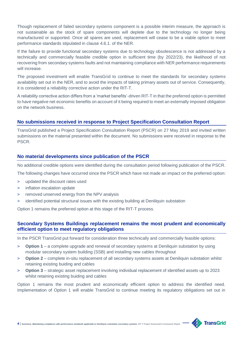Though replacement of failed secondary systems component is a possible interim measure, the approach is not sustainable as the stock of spare components will deplete due to the technology no longer being manufactured or supported. Once all spares are used, replacement will cease to be a viable option to meet performance standards stipulated in clause 4.6.1. of the NER.

If the failure to provide functional secondary systems due to technology obsolescence is not addressed by a technically and commercially feasible credible option in sufficient time (by 2022/23), the likelihood of not recovering from secondary systems faults and not maintaining compliance with NER performance requirements will increase.

The proposed investment will enable TransGrid to continue to meet the standards for secondary systems availability set out in the NER, and to avoid the impacts of taking primary assets out of service. Consequently, it is considered a reliability corrective action under the RIT-T.

A reliability corrective action differs from a 'market benefits'-driven RIT-T in that the preferred option is permitted to have negative net economic benefits on account of it being required to meet an externally imposed obligation on the network business.

#### **No submissions received in response to Project Specification Consultation Report**

TransGrid published a Project Specification Consultation Report (PSCR) on 27 May 2019 and invited written submissions on the material presented within the document. No submissions were received in response to the PSCR.

#### **No material developments since publication of the PSCR**

No additional credible options were identified during the consultation period following publication of the PSCR.

The following changes have occurred since the PSCR which have not made an impact on the preferred option:

- > updated the discount rates used
- > inflation escalation update
- > removed unserved energy from the NPV analysis
- > identified potential structural issues with the existing building at Deniliquin substation

Option 1 remains the preferred option at this stage of the RIT-T process.

#### **Secondary Systems Buildings replacement remains the most prudent and economically efficient option to meet regulatory obligations**

In the PSCR TransGrid put forward for consideration three technically and commercially feasible options:

- > **Option 1** a complete upgrade and renewal of secondary systems at Deniliquin substation by using modular secondary system building (SSB) and installing new cables throughout
- > **Option 2** complete in-situ replacement of all secondary systems assets at Deniliquin substation whilst retaining existing buiding and cables
- > **Option 3** strategic asset replacement involving individual replacement of identified assets up to 2023 whilst retaining existing buiding and cables

Option 1 remains the most prudent and economically efficient option to address the identified need. Implementation of Option 1 will enable TransGrid to continue meeting its regulatory obligations set out in

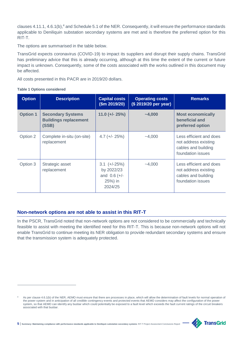clauses 4.11.1, 4.6.1(b),<sup>4</sup> and Schedule 5.1 of the NER. Consequently, it will ensure the performance standards applicable to Deniliquin substation secondary systems are met and is therefore the preferred option for this RIT-T.

The options are summarised in the table below.

TransGrid expects coronavirus (COVID-19) to impact its suppliers and disrupt their supply chains. TransGrid has preliminary advice that this is already occurring, although at this time the extent of the current or future impact is unknown. Consequently, some of the costs associated with the works outlined in this document may be affected.

All costs presented in this PACR are in 2019/20 dollars.

|  | <b>Table 1 Options considered</b> |
|--|-----------------------------------|
|  |                                   |

 $\overline{a}$ 

| <b>Option</b>   | <b>Description</b>                                                | <b>Capital costs</b><br>\$m 2019/20\$                                 | <b>Operating costs</b><br>(\$2019/20 per year) | <b>Remarks</b>                                                                              |
|-----------------|-------------------------------------------------------------------|-----------------------------------------------------------------------|------------------------------------------------|---------------------------------------------------------------------------------------------|
| <b>Option 1</b> | <b>Secondary Systems</b><br><b>Buildings replacement</b><br>(SSB) | $11.0$ (+/- 25%)                                                      | $-4,000$                                       | <b>Most economically</b><br>beneficial and<br>preferred option                              |
| Option 2        | Complete in-situ (on-site)<br>replacement                         | $4.7 (+/- 25%)$                                                       | $-4,000$                                       | Less efficient and does<br>not address existing<br>cables and building<br>foundation issues |
| Option 3        | Strategic asset<br>replacement                                    | $3.1$ (+/-25%)<br>by 2022/23<br>and $0.6 (+/-)$<br>25%) in<br>2024/25 | $-4,000$                                       | Less efficient and does<br>not address existing<br>cables and building<br>foundation issues |

#### **Non-network options are not able to assist in this RIT-T**

In the PSCR, TransGrid noted that non-network options are not considered to be commercially and technically feasible to assist with meeting the identified need for this RIT-T. This is because non-network options will not enable TransGrid to continue meeting its NER obligation to provide redundant secondary systems and ensure that the transmission system is adequately protected.

As per clause 4.6.1(b) of the NER, AEMO must ensure that there are processes in place, which will allow the determination of fault levels for normal operation of the power system and in anticipation of all credible contingency events and protected events that AEMO considers may affect the configuration of the power system, so that AEMO can identify any busbar which could potentially be exposed to a fault level which exceeds the fault current ratings of the circuit breakers associated with that busbar.

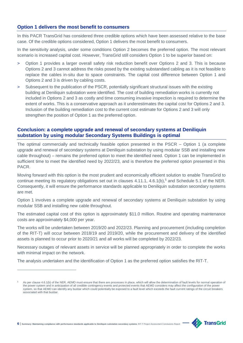#### **Option 1 delivers the most benefit to consumers**

In this PACR TransGrid has considered three credible options which have been assessed relative to the base case. Of the credible options considered, Option 1 delivers the most benefit to consumers.

In the sensitivity analysis, under some conditions Option 2 becomes the preferred option. The most relevant scenario is increased capital cost. However, TransGrid still considers Option 1 to be superior based on:

- > Option 1 provides a larger overall safety risk reduction benefit over Options 2 and 3. This is because Options 2 and 3 cannot address the risks posed by the existing substandard cabling as it is not feasible to replace the cables in-situ due to space constraints. The capital cost difference between Option 1 and Options 2 and 3 is driven by cabling costs.
- > Subsequent to the publication of the PSCR, potentially significant structural issues with the existing building at Deniliquin substation were identified. The cost of building remediation works is currently not included in Options 2 and 3 as costly and time consuming invasive inspection is required to determine the extent of works. This is a conservative approach as it underestimates the capital cost for Options 2 and 3. Inclusion of the building remediation cost to the current cost estimate for Options 2 and 3 will only strengthen the position of Option 1 as the preferred option.

#### **Conclusion: a complete upgrade and renewal of secondary systems at Deniliquin substation by using modular Secondary Systems Buildings is optimal**

The optimal commercially and technically feasible option presented in the PSCR – Option 1 (a complete upgrade and renewal of secondary systems at Deniliquin substation by using modular SSB and installing new cable throughout) – remains the preferred option to meet the identified need. Option 1 can be implemented in sufficient time to meet the identified need by 2022/23, and is therefore the preferred option presented in this PACR.

Moving forward with this option is the most prudent and economically efficient solution to enable TransGrid to continue meeting its regulatory obligations set out in clauses  $4.11.1$ ,  $4.6.1(b)$ <sup>5</sup> and Schedule 5.1 of the NER. Consequently, it will ensure the performance standards applicable to Deniliquin substation secondary systems are met.

Option 1 involves a complete upgrade and renewal of secondary systems at Deniliquin substation by using modular SSB and installing new cable throughout.

The estimated capital cost of this option is approximately \$11.0 million. Routine and operating maintenance costs are approximately \$4,000 per year.

The works will be undertaken between 2019/20 and 2022/23. Planning and procurement (including completion of the RIT-T) will occur between 2018/19 and 2019/20, while the procurement and delivery of the identified assets is planned to occur prior to 2020/21 and all works will be completed by 2022/23.

Necessary outages of relevant assets in service will be planned appropriately in order to complete the works with minimal impact on the network.

The analysis undertaken and the identification of Option 1 as the preferred option satisfies the RIT-T.



**6** | **Summary: Maintaining compliance with performance standards applicable to Deniliquin substation secondary systems** RIT-T Project Assessment Conclusions Report

 $\overline{a}$ 

As per clause 4.6.1(b) of the NER, AEMO must ensure that there are processes in place, which will allow the determination of fault levels for normal operation of the power system and in anticipation of all credible contingency events and protected events that AEMO considers may affect the configuration of the power system, so that AEMO can identify any busbar which could potentially be exposed to a fault level which exceeds the fault current ratings of the circuit breakers associated with that busbar.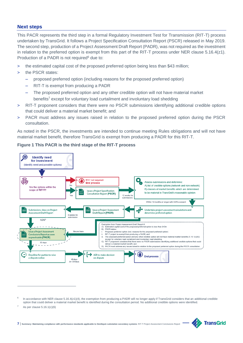#### **Next steps**

This PACR represents the third step in a formal Regulatory Investment Test for Transmission (RIT-T) process undertaken by TransGrid. It follows a Project Specification Consultation Report (PSCR) released in May 2019. The second step, production of a Project Assessment Draft Report (PADR), was not required as the investment in relation to the preferred option is exempt from this part of the RIT-T process under NER clause 5.16.4(z1). Production of a PADR is not required<sup>6</sup> due to:

- > the estimated capital cost of the proposed preferred option being less than \$43 million;
- > the PSCR states:
	- proposed preferred option (including reasons for the proposed preferred option)
	- RIT-T is exempt from producing a PADR
	- The proposed preferred option and any other credible option will not have material market benefits<sup>7</sup> except for voluntary load curtailment and involuntary load shedding
- > RIT-T proponent considers that there were no PSCR submissions identifying additional credible options that could deliver a material market benefit; and
- > PACR must address any issues raised in relation to the proposed preferred option during the PSCR consultation.

As noted in the PSCR, the investments are intended to continue meeting Rules obligations and will not have material market benefit, therefore TransGrid is exempt from producing a PADR for this RIT-T.



#### **Figure 1 This PACR is the third stage of the RIT-T process**

 $\overline{a}$ 



<sup>6</sup> In accordance with NER clause 5.16.4(z1)(4), the exemption from producing a PADR will no longer apply if TransGrid considers that an additional credible option that could deliver a material market benefit is identified during the consultation period. No additional credible options were identified.

<sup>7</sup> As per clause 5.16.1(c)(6)